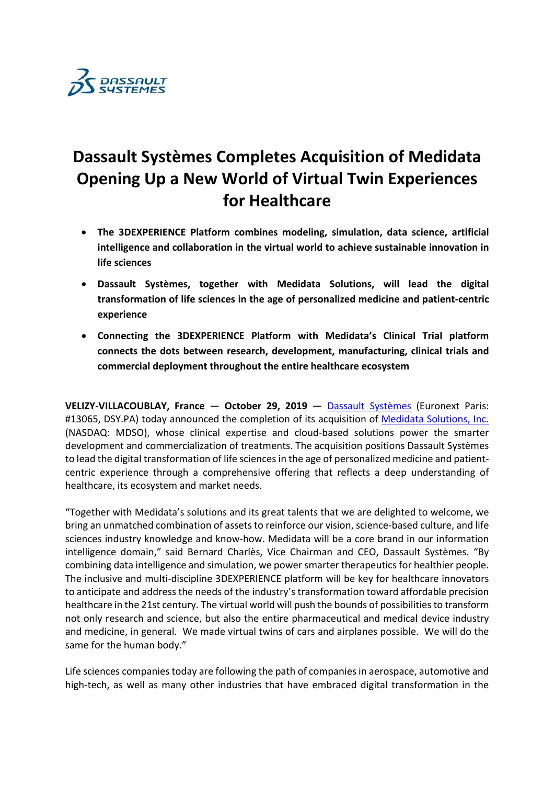

# **Dassault Systèmes Completes Acquisition of Medidata Opening Up a New World of Virtual Twin Experiences for Healthcare**

- **The 3DEXPERIENCE Platform combines modeling, simulation, data science, artificial intelligence and collaboration in the virtual world to achieve sustainable innovation in life sciences**
- **Dassault Systèmes, together with Medidata Solutions, will lead the digital transformation of life sciences in the age of personalized medicine and patient‐centric experience**
- **Connecting the 3DEXPERIENCE Platform with Medidata's Clinical Trial platform connects the dots between research, development, manufacturing, clinical trials and commercial deployment throughout the entire healthcare ecosystem**

**VELIZY-VILLACOUBLAY, France - October 29, 2019 - Dassault Systèmes (Euronext Paris:** #13065, DSY.PA) today announced the completion of its acquisition of Medidata Solutions, Inc. (NASDAQ: MDSO), whose clinical expertise and cloud‐based solutions power the smarter development and commercialization of treatments. The acquisition positions Dassault Systèmes to lead the digital transformation of life sciences in the age of personalized medicine and patient‐ centric experience through a comprehensive offering that reflects a deep understanding of healthcare, its ecosystem and market needs.

"Together with Medidata's solutions and its great talents that we are delighted to welcome, we bring an unmatched combination of assets to reinforce our vision, science‐based culture, and life sciences industry knowledge and know‐how. Medidata will be a core brand in our information intelligence domain," said Bernard Charlès, Vice Chairman and CEO, Dassault Systèmes. "By combining data intelligence and simulation, we power smarter therapeutics for healthier people. The inclusive and multi‐discipline 3DEXPERIENCE platform will be key for healthcare innovators to anticipate and address the needs of the industry's transformation toward affordable precision healthcare in the 21st century. The virtual world will push the bounds of possibilities to transform not only research and science, but also the entire pharmaceutical and medical device industry and medicine, in general. We made virtual twins of cars and airplanes possible. We will do the same for the human body."

Life sciences companies today are following the path of companies in aerospace, automotive and high-tech, as well as many other industries that have embraced digital transformation in the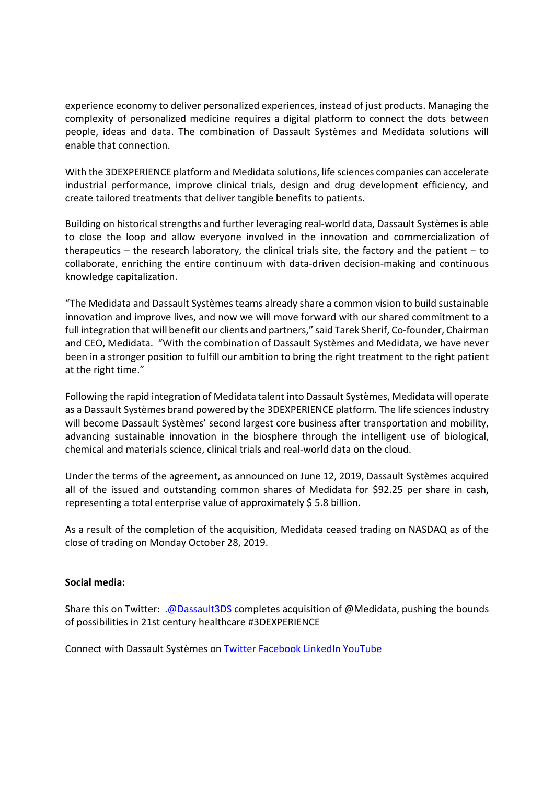experience economy to deliver personalized experiences, instead of just products. Managing the complexity of personalized medicine requires a digital platform to connect the dots between people, ideas and data. The combination of Dassault Systèmes and Medidata solutions will enable that connection.

With the 3DEXPERIENCE platform and Medidata solutions, life sciences companies can accelerate industrial performance, improve clinical trials, design and drug development efficiency, and create tailored treatments that deliver tangible benefits to patients.

Building on historical strengths and further leveraging real‐world data, Dassault Systèmes is able to close the loop and allow everyone involved in the innovation and commercialization of therapeutics – the research laboratory, the clinical trials site, the factory and the patient – to collaborate, enriching the entire continuum with data‐driven decision‐making and continuous knowledge capitalization.

"The Medidata and Dassault Systèmes teams already share a common vision to build sustainable innovation and improve lives, and now we will move forward with our shared commitment to a full integration that will benefit our clients and partners," said Tarek Sherif, Co-founder, Chairman and CEO, Medidata. "With the combination of Dassault Systèmes and Medidata, we have never been in a stronger position to fulfill our ambition to bring the right treatment to the right patient at the right time."

Following the rapid integration of Medidata talent into Dassault Systèmes, Medidata will operate as a Dassault Systèmes brand powered by the 3DEXPERIENCE platform. The life sciences industry will become Dassault Systèmes' second largest core business after transportation and mobility, advancing sustainable innovation in the biosphere through the intelligent use of biological, chemical and materials science, clinical trials and real‐world data on the cloud.

Under the terms of the agreement, as announced on June 12, 2019, Dassault Systèmes acquired all of the issued and outstanding common shares of Medidata for \$92.25 per share in cash, representing a total enterprise value of approximately \$ 5.8 billion.

As a result of the completion of the acquisition, Medidata ceased trading on NASDAQ as of the close of trading on Monday October 28, 2019.

## **Social media:**

Share this on Twitter: .@Dassault3DS completes acquisition of @Medidata, pushing the bounds of possibilities in 21st century healthcare #3DEXPERIENCE

Connect with Dassault Systèmes on Twitter Facebook LinkedIn YouTube